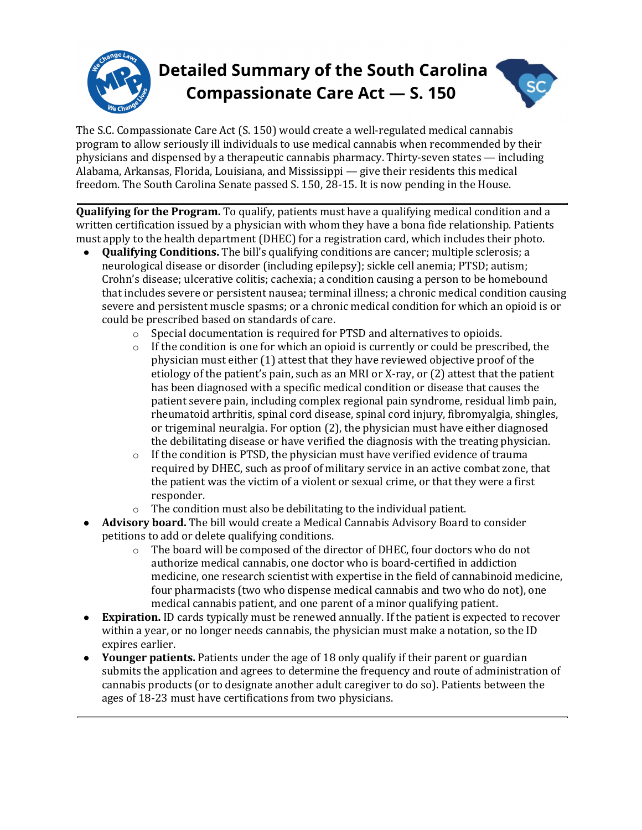

The S.C. Compassionate Care Act (S. 150) would create a well-regulated medical cannabis program to allow seriously ill individuals to use medical cannabis when recommended by their physicians and dispensed by a therapeutic cannabis pharmacy. Thirty-seven states  $-$  including Alabama, Arkansas, Florida, Louisiana, and Mississippi — give their residents this medical freedom. The South Carolina Senate passed S. 150, 28-15. It is now pending in the House.

**Qualifying for the Program.** To qualify, patients must have a qualifying medical condition and a written certification issued by a physician with whom they have a bona fide relationship. Patients must apply to the health department (DHEC) for a registration card, which includes their photo.

- **Qualifying Conditions.** The bill's qualifying conditions are cancer; multiple sclerosis; a neurological disease or disorder (including epilepsy); sickle cell anemia; PTSD; autism; Crohn's disease; ulcerative colitis; cachexia; a condition causing a person to be homebound that includes severe or persistent nausea; terminal illness; a chronic medical condition causing severe and persistent muscle spasms; or a chronic medical condition for which an opioid is or could be prescribed based on standards of care.
	- $\circ$  Special documentation is required for PTSD and alternatives to opioids.
	- $\circ$  If the condition is one for which an opioid is currently or could be prescribed, the physician must either (1) attest that they have reviewed objective proof of the etiology of the patient's pain, such as an MRI or X-ray, or  $(2)$  attest that the patient has been diagnosed with a specific medical condition or disease that causes the patient severe pain, including complex regional pain syndrome, residual limb pain, rheumatoid arthritis, spinal cord disease, spinal cord injury, fibromyalgia, shingles, or trigeminal neuralgia. For option  $(2)$ , the physician must have either diagnosed the debilitating disease or have verified the diagnosis with the treating physician.
	- $\circ$  If the condition is PTSD, the physician must have verified evidence of trauma required by DHEC, such as proof of military service in an active combat zone, that the patient was the victim of a violent or sexual crime, or that they were a first responder.
	- The condition must also be debilitating to the individual patient.
- **Advisory board.** The bill would create a Medical Cannabis Advisory Board to consider petitions to add or delete qualifying conditions.
	- $\circ$  The board will be composed of the director of DHEC, four doctors who do not authorize medical cannabis, one doctor who is board-certified in addiction medicine, one research scientist with expertise in the field of cannabinoid medicine, four pharmacists (two who dispense medical cannabis and two who do not), one medical cannabis patient, and one parent of a minor qualifying patient.
- **Expiration.** ID cards typically must be renewed annually. If the patient is expected to recover within a year, or no longer needs cannabis, the physician must make a notation, so the ID expires earlier.
- Younger patients. Patients under the age of 18 only qualify if their parent or guardian submits the application and agrees to determine the frequency and route of administration of cannabis products (or to designate another adult caregiver to do so). Patients between the ages of 18-23 must have certifications from two physicians.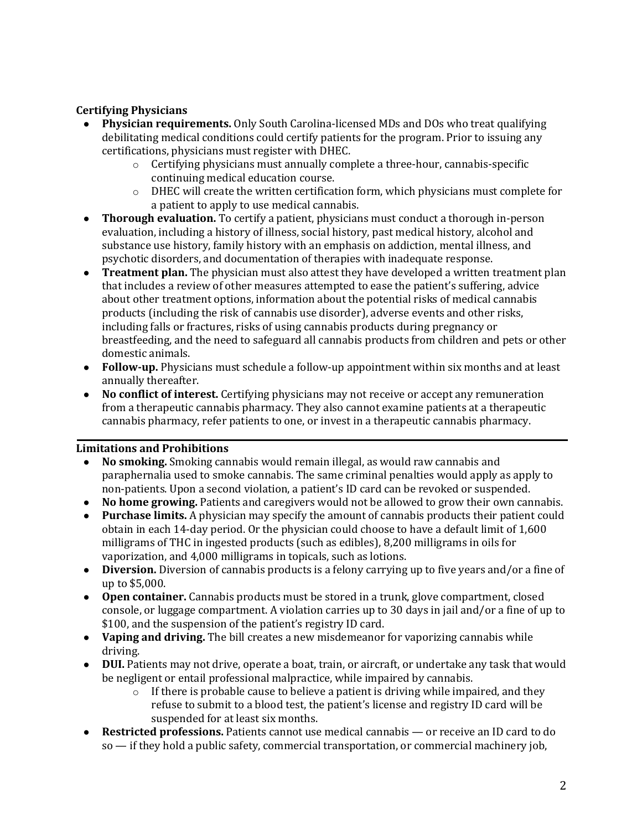## **Certifying Physicians**

- **Physician requirements.** Only South Carolina-licensed MDs and DOs who treat qualifying debilitating medical conditions could certify patients for the program. Prior to issuing any certifications, physicians must register with DHEC.
	- $\circ$  Certifying physicians must annually complete a three-hour, cannabis-specific continuing medical education course.
	- $\circ$  DHEC will create the written certification form, which physicians must complete for a patient to apply to use medical cannabis.
- **Thorough evaluation.** To certify a patient, physicians must conduct a thorough in-person evaluation, including a history of illness, social history, past medical history, alcohol and substance use history, family history with an emphasis on addiction, mental illness, and psychotic disorders, and documentation of therapies with inadequate response.
- **Treatment plan.** The physician must also attest they have developed a written treatment plan that includes a review of other measures attempted to ease the patient's suffering, advice about other treatment options, information about the potential risks of medical cannabis products (including the risk of cannabis use disorder), adverse events and other risks, including falls or fractures, risks of using cannabis products during pregnancy or breastfeeding, and the need to safeguard all cannabis products from children and pets or other domestic animals.
- **Follow-up.** Physicians must schedule a follow-up appointment within six months and at least annually thereafter.
- **No conflict of interest.** Certifying physicians may not receive or accept any remuneration from a therapeutic cannabis pharmacy. They also cannot examine patients at a therapeutic cannabis pharmacy, refer patients to one, or invest in a therapeutic cannabis pharmacy.

### **Limitations and Prohibitions**

- **No smoking.** Smoking cannabis would remain illegal, as would raw cannabis and paraphernalia used to smoke cannabis. The same criminal penalties would apply as apply to non-patients. Upon a second violation, a patient's ID card can be revoked or suspended.
- **No home growing.** Patients and caregivers would not be allowed to grow their own cannabis.
- **Purchase limits.** A physician may specify the amount of cannabis products their patient could obtain in each 14-day period. Or the physician could choose to have a default limit of 1,600 milligrams of THC in ingested products (such as edibles),  $8,200$  milligrams in oils for vaporization, and 4,000 milligrams in topicals, such as lotions.
- **Diversion.** Diversion of cannabis products is a felony carrying up to five years and/or a fine of up to \$5,000.
- Open container. Cannabis products must be stored in a trunk, glove compartment, closed console, or luggage compartment. A violation carries up to 30 days in jail and/or a fine of up to \$100, and the suspension of the patient's registry ID card.
- **Vaping and driving.** The bill creates a new misdemeanor for vaporizing cannabis while driving.
- **DUI.** Patients may not drive, operate a boat, train, or aircraft, or undertake any task that would be negligent or entail professional malpractice, while impaired by cannabis.
	- $\circ$  If there is probable cause to believe a patient is driving while impaired, and they refuse to submit to a blood test, the patient's license and registry ID card will be suspended for at least six months.
- **Restricted professions.** Patients cannot use medical cannabis or receive an ID card to do  $so$  — if they hold a public safety, commercial transportation, or commercial machinery job,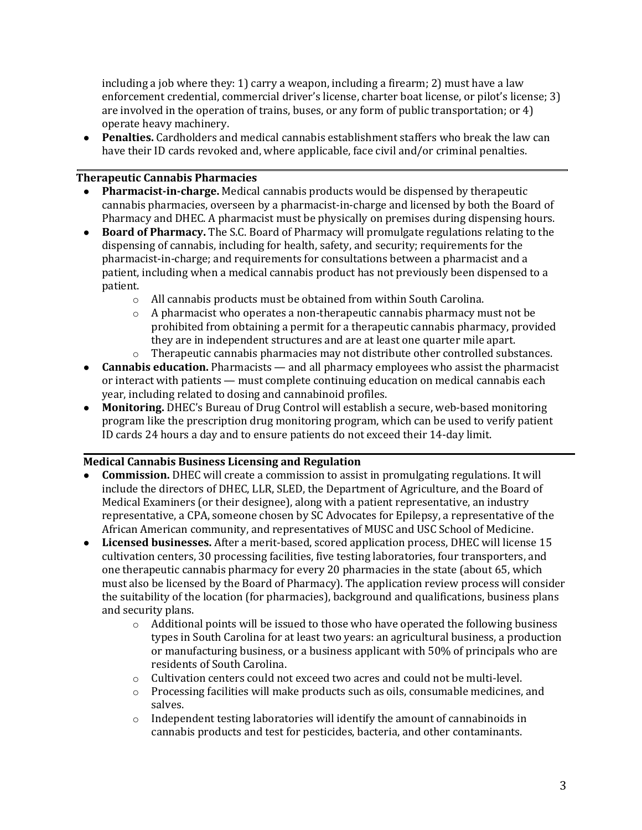including a job where they: 1) carry a weapon, including a firearm; 2) must have a law enforcement credential, commercial driver's license, charter boat license, or pilot's license; 3) are involved in the operation of trains, buses, or any form of public transportation; or 4) operate heavy machinery.

• **Penalties.** Cardholders and medical cannabis establishment staffers who break the law can have their ID cards revoked and, where applicable, face civil and/or criminal penalties.

### **Therapeutic Cannabis Pharmacies**

- **Pharmacist-in-charge.** Medical cannabis products would be dispensed by therapeutic cannabis pharmacies, overseen by a pharmacist-in-charge and licensed by both the Board of Pharmacy and DHEC. A pharmacist must be physically on premises during dispensing hours.
- Board of Pharmacy. The S.C. Board of Pharmacy will promulgate regulations relating to the dispensing of cannabis, including for health, safety, and security; requirements for the pharmacist-in-charge; and requirements for consultations between a pharmacist and a patient, including when a medical cannabis product has not previously been dispensed to a patient.
	- $\circ$  All cannabis products must be obtained from within South Carolina.
	- $\circ$  A pharmacist who operates a non-therapeutic cannabis pharmacy must not be prohibited from obtaining a permit for a therapeutic cannabis pharmacy, provided they are in independent structures and are at least one quarter mile apart.
	- $\circ$  Therapeutic cannabis pharmacies may not distribute other controlled substances.
- **Cannabis education.** Pharmacists and all pharmacy employees who assist the pharmacist or interact with patients — must complete continuing education on medical cannabis each year, including related to dosing and cannabinoid profiles.
- **Monitoring.** DHEC's Bureau of Drug Control will establish a secure, web-based monitoring program like the prescription drug monitoring program, which can be used to verify patient ID cards 24 hours a day and to ensure patients do not exceed their 14-day limit.

# **Medical Cannabis Business Licensing and Regulation**

- **Commission.** DHEC will create a commission to assist in promulgating regulations. It will include the directors of DHEC, LLR, SLED, the Department of Agriculture, and the Board of Medical Examiners (or their designee), along with a patient representative, an industry representative, a CPA, someone chosen by SC Advocates for Epilepsy, a representative of the African American community, and representatives of MUSC and USC School of Medicine.
- Licensed businesses. After a merit-based, scored application process, DHEC will license 15 cultivation centers, 30 processing facilities, five testing laboratories, four transporters, and one therapeutic cannabis pharmacy for every 20 pharmacies in the state (about 65, which must also be licensed by the Board of Pharmacy). The application review process will consider the suitability of the location (for pharmacies), background and qualifications, business plans and security plans.
	- $\circ$  Additional points will be issued to those who have operated the following business types in South Carolina for at least two years: an agricultural business, a production or manufacturing business, or a business applicant with 50% of principals who are residents of South Carolina.
	- $\circ$  Cultivation centers could not exceed two acres and could not be multi-level.
	- o Processing facilities will make products such as oils, consumable medicines, and salves.
	- $\circ$  Independent testing laboratories will identify the amount of cannabinoids in cannabis products and test for pesticides, bacteria, and other contaminants.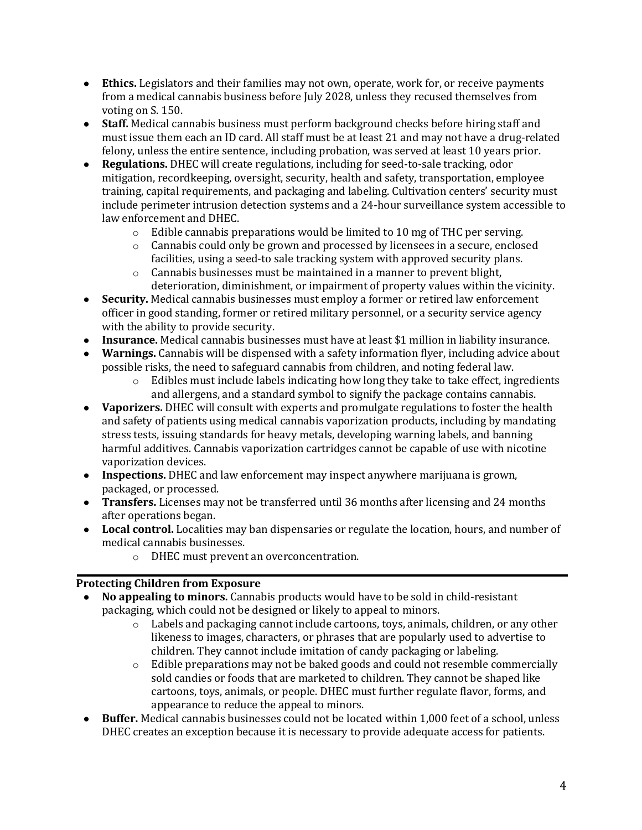- Ethics. Legislators and their families may not own, operate, work for, or receive payments from a medical cannabis business before July 2028, unless they recused themselves from voting on S. 150.
- **Staff.** Medical cannabis business must perform background checks before hiring staff and must issue them each an ID card. All staff must be at least 21 and may not have a drug-related felony, unless the entire sentence, including probation, was served at least 10 years prior.
- **Regulations.** DHEC will create regulations, including for seed-to-sale tracking, odor mitigation, recordkeeping, oversight, security, health and safety, transportation, employee training, capital requirements, and packaging and labeling. Cultivation centers' security must include perimeter intrusion detection systems and a 24-hour surveillance system accessible to law enforcement and DHEC.
	- $\circ$  Edible cannabis preparations would be limited to 10 mg of THC per serving.
	- $\circ$  Cannabis could only be grown and processed by licensees in a secure, enclosed facilities, using a seed-to sale tracking system with approved security plans.
	- $\circ$  Cannabis businesses must be maintained in a manner to prevent blight, deterioration, diminishment, or impairment of property values within the vicinity.
- Security. Medical cannabis businesses must employ a former or retired law enforcement officer in good standing, former or retired military personnel, or a security service agency with the ability to provide security.
- Insurance. Medical cannabis businesses must have at least \$1 million in liability insurance.
- **Warnings.** Cannabis will be dispensed with a safety information flyer, including advice about possible risks, the need to safeguard cannabis from children, and noting federal law.
	- $\circ$  Edibles must include labels indicating how long they take to take effect, ingredients and allergens, and a standard symbol to signify the package contains cannabis.
- Vaporizers. DHEC will consult with experts and promulgate regulations to foster the health and safety of patients using medical cannabis vaporization products, including by mandating stress tests, issuing standards for heavy metals, developing warning labels, and banning harmful additives. Cannabis vaporization cartridges cannot be capable of use with nicotine vaporization devices.
- **Inspections.** DHEC and law enforcement may inspect anywhere marijuana is grown, packaged, or processed.
- **Transfers.** Licenses may not be transferred until 36 months after licensing and 24 months after operations began.
- Local control. Localities may ban dispensaries or regulate the location, hours, and number of medical cannabis businesses.
	- o DHEC must prevent an overconcentration.

# **Protecting Children from Exposure**

- **No appealing to minors.** Cannabis products would have to be sold in child-resistant packaging, which could not be designed or likely to appeal to minors.
	- $\circ$  Labels and packaging cannot include cartoons, toys, animals, children, or any other likeness to images, characters, or phrases that are popularly used to advertise to children. They cannot include imitation of candy packaging or labeling.
	- $\circ$  Edible preparations may not be baked goods and could not resemble commercially sold candies or foods that are marketed to children. They cannot be shaped like cartoons, toys, animals, or people. DHEC must further regulate flavor, forms, and appearance to reduce the appeal to minors.
- Buffer. Medical cannabis businesses could not be located within 1,000 feet of a school, unless DHEC creates an exception because it is necessary to provide adequate access for patients.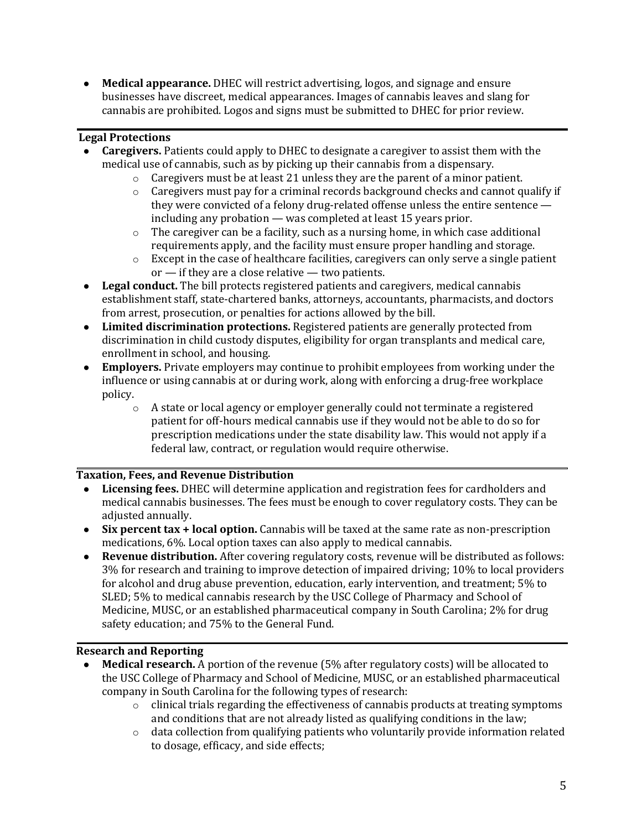• **Medical appearance.** DHEC will restrict advertising, logos, and signage and ensure businesses have discreet, medical appearances. Images of cannabis leaves and slang for cannabis are prohibited. Logos and signs must be submitted to DHEC for prior review.

## **Legal Protections**

- **Caregivers.** Patients could apply to DHEC to designate a caregiver to assist them with the medical use of cannabis, such as by picking up their cannabis from a dispensary.
	- $\circ$  Caregivers must be at least 21 unless they are the parent of a minor patient.
	- $\circ$  Caregivers must pay for a criminal records background checks and cannot qualify if they were convicted of a felony drug-related offense unless the entire sentence  $$ including any probation  $-$  was completed at least 15 years prior.
	- $\circ$  The caregiver can be a facility, such as a nursing home, in which case additional requirements apply, and the facility must ensure proper handling and storage.
	- $\circ$  Except in the case of healthcare facilities, caregivers can only serve a single patient  $or$  — if they are a close relative — two patients.
- Legal conduct. The bill protects registered patients and caregivers, medical cannabis establishment staff, state-chartered banks, attorneys, accountants, pharmacists, and doctors from arrest, prosecution, or penalties for actions allowed by the bill.
- Limited discrimination protections. Registered patients are generally protected from discrimination in child custody disputes, eligibility for organ transplants and medical care, enrollment in school, and housing.
- **Employers.** Private employers may continue to prohibit employees from working under the influence or using cannabis at or during work, along with enforcing a drug-free workplace policy.
	- $\circ$  A state or local agency or employer generally could not terminate a registered patient for off-hours medical cannabis use if they would not be able to do so for prescription medications under the state disability law. This would not apply if a federal law, contract, or regulation would require otherwise.

### **Taxation, Fees, and Revenue Distribution**

- **Licensing fees.** DHEC will determine application and registration fees for cardholders and medical cannabis businesses. The fees must be enough to cover regulatory costs. They can be adjusted annually.
- **Six percent tax + local option.** Cannabis will be taxed at the same rate as non-prescription medications,  $6\%$ . Local option taxes can also apply to medical cannabis.
- **Revenue distribution.** After covering regulatory costs, revenue will be distributed as follows: 3% for research and training to improve detection of impaired driving; 10% to local providers for alcohol and drug abuse prevention, education, early intervention, and treatment; 5% to SLED; 5% to medical cannabis research by the USC College of Pharmacy and School of Medicine, MUSC, or an established pharmaceutical company in South Carolina; 2% for drug safety education; and 75% to the General Fund.

### **Research and Reporting**

- **Medical research.** A portion of the revenue (5% after regulatory costs) will be allocated to the USC College of Pharmacy and School of Medicine, MUSC, or an established pharmaceutical company in South Carolina for the following types of research:
	- $\circ$  clinical trials regarding the effectiveness of cannabis products at treating symptoms and conditions that are not already listed as qualifying conditions in the law;
	- $\circ$  data collection from qualifying patients who voluntarily provide information related to dosage, efficacy, and side effects;